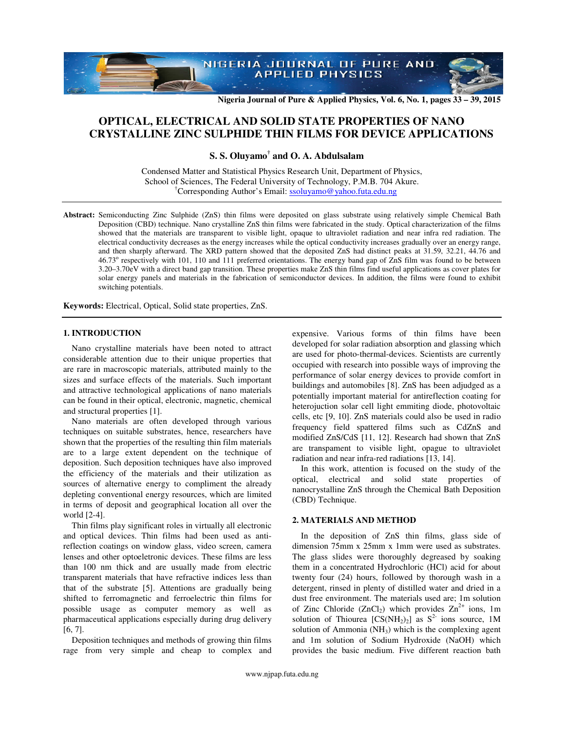

**Nigeria Journal of Pure & Applied Physics, Vol. 6, No. 1, pages 33 – 39, 2015** 

# **OPTICAL, ELECTRICAL AND SOLID STATE PROPERTIES OF NANO CRYSTALLINE ZINC SULPHIDE THIN FILMS FOR DEVICE APPLICATIONS**

**S. S. Oluyamo† and O. A. Abdulsalam** 

Condensed Matter and Statistical Physics Research Unit, Department of Physics, School of Sciences, The Federal University of Technology, P.M.B. 704 Akure. †Corresponding Author's Email: ssoluyamo@yahoo.futa.edu.ng

**Abstract:** Semiconducting Zinc Sulphide (ZnS) thin films were deposited on glass substrate using relatively simple Chemical Bath Deposition (CBD) technique. Nano crystalline ZnS thin films were fabricated in the study. Optical characterization of the films showed that the materials are transparent to visible light, opaque to ultraviolet radiation and near infra red radiation. The electrical conductivity decreases as the energy increases while the optical conductivity increases gradually over an energy range, and then sharply afterward. The XRD pattern showed that the deposited ZnS had distinct peaks at 31.59, 32.21, 44.76 and 46.73° respectively with 101, 110 and 111 preferred orientations. The energy band gap of ZnS film was found to be between 3.20–3.70eV with a direct band gap transition. These properties make ZnS thin films find useful applications as cover plates for solar energy panels and materials in the fabrication of semiconductor devices. In addition, the films were found to exhibit switching potentials.

**Keywords:** Electrical, Optical, Solid state properties, ZnS.

## **1. INTRODUCTION**

Nano crystalline materials have been noted to attract considerable attention due to their unique properties that are rare in macroscopic materials, attributed mainly to the sizes and surface effects of the materials. Such important and attractive technological applications of nano materials can be found in their optical, electronic, magnetic, chemical and structural properties [1].

Nano materials are often developed through various techniques on suitable substrates, hence, researchers have shown that the properties of the resulting thin film materials are to a large extent dependent on the technique of deposition. Such deposition techniques have also improved the efficiency of the materials and their utilization as sources of alternative energy to compliment the already depleting conventional energy resources, which are limited in terms of deposit and geographical location all over the world [2-4].

Thin films play significant roles in virtually all electronic and optical devices. Thin films had been used as antireflection coatings on window glass, video screen, camera lenses and other optoeletronic devices. These films are less than 100 nm thick and are usually made from electric transparent materials that have refractive indices less than that of the substrate [5]. Attentions are gradually being shifted to ferromagnetic and ferroelectric thin films for possible usage as computer memory as well as pharmaceutical applications especially during drug delivery [6, 7].

Deposition techniques and methods of growing thin films rage from very simple and cheap to complex and expensive. Various forms of thin films have been developed for solar radiation absorption and glassing which are used for photo-thermal-devices. Scientists are currently occupied with research into possible ways of improving the performance of solar energy devices to provide comfort in buildings and automobiles [8]. ZnS has been adjudged as a potentially important material for antireflection coating for heterojuction solar cell light emmiting diode, photovoltaic cells, etc [9, 10]. ZnS materials could also be used in radio frequency field spattered films such as CdZnS and modified ZnS/CdS [11, 12]. Research had shown that ZnS are transpament to visible light, opague to ultraviolet radiation and near infra-red radiations [13, 14].

In this work, attention is focused on the study of the optical, electrical and solid state properties of nanocrystalline ZnS through the Chemical Bath Deposition (CBD) Technique.

# **2. MATERIALS AND METHOD**

In the deposition of ZnS thin films, glass side of dimension 75mm x 25mm x 1mm were used as substrates. The glass slides were thoroughly degreased by soaking them in a concentrated Hydrochloric (HCl) acid for about twenty four (24) hours, followed by thorough wash in a detergent, rinsed in plenty of distilled water and dried in a dust free environment. The materials used are; 1m solution of Zinc Chloride (ZnCl<sub>2</sub>) which provides  $\text{Zn}^{2+}$  ions, 1m solution of Thiourea  $[CS(NH<sub>2</sub>)<sub>2</sub>]$  as  $S<sup>2-</sup>$  ions source, 1M solution of Ammonia (NH<sub>3</sub>) which is the complexing agent and 1m solution of Sodium Hydroxide (NaOH) which provides the basic medium. Five different reaction bath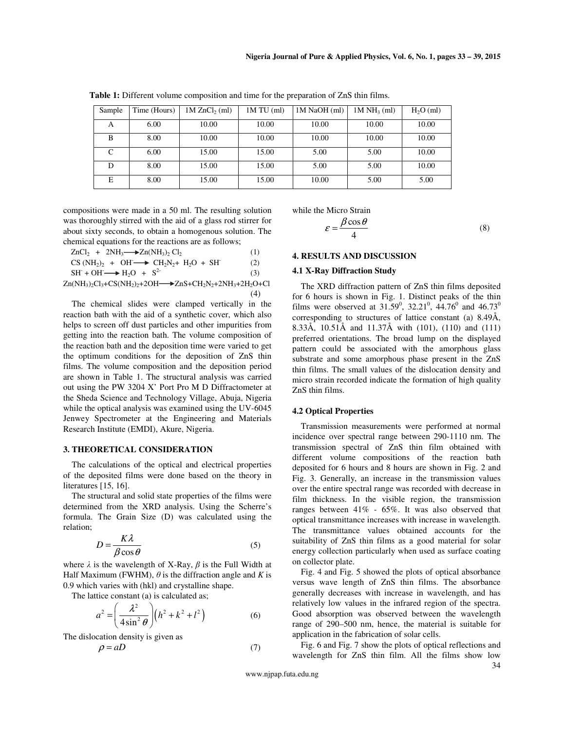| Sample | Time (Hours) | $1M$ ZnCl <sub>2</sub> (ml) | $1M TU$ (ml) | 1M NaOH (ml) | $1M NH3$ (ml) | $H2O$ (ml) |
|--------|--------------|-----------------------------|--------------|--------------|---------------|------------|
| А      | 6.00         | 10.00                       | 10.00        | 10.00        | 10.00         | 10.00      |
| B      | 8.00         | 10.00                       | 10.00        | 10.00        | 10.00         | 10.00      |
| C      | 6.00         | 15.00                       | 15.00        | 5.00         | 5.00          | 10.00      |
| D      | 8.00         | 15.00                       | 15.00        | 5.00         | 5.00          | 10.00      |
| E      | 8.00         | 15.00                       | 15.00        | 10.00        | 5.00          | 5.00       |

**Table 1:** Different volume composition and time for the preparation of ZnS thin films.

compositions were made in a 50 ml. The resulting solution was thoroughly stirred with the aid of a glass rod stirrer for about sixty seconds, to obtain a homogenous solution. The chemical equations for the reactions are as follows;

 $ZnCl_2 + 2NH_3 \longrightarrow Zn(NH_3)_2 Cl_2$  (1)  $CS(NH<sub>2</sub>)<sub>2</sub> + OH \longrightarrow CH<sub>2</sub>N<sub>2</sub>+ H<sub>2</sub>O + SH<sup>-</sup>$  (2)  $SH + OH \longrightarrow H_2O + S^2$  (3)  $Zn(NH_3)_2Cl_3+CS(NH_2)_2+2OH \longrightarrow ZnS+CH_2N_2+2NH_3+2H_2O+Cl$ (4)

The chemical slides were clamped vertically in the reaction bath with the aid of a synthetic cover, which also helps to screen off dust particles and other impurities from getting into the reaction bath. The volume composition of the reaction bath and the deposition time were varied to get the optimum conditions for the deposition of ZnS thin films. The volume composition and the deposition period are shown in Table 1. The structural analysis was carried out using the PW 3204 X' Port Pro M D Diffractometer at the Sheda Science and Technology Village, Abuja, Nigeria while the optical analysis was examined using the UV-6045 Jenwey Spectrometer at the Engineering and Materials Research Institute (EMDI), Akure, Nigeria.

# **3. THEORETICAL CONSIDERATION**

The calculations of the optical and electrical properties of the deposited films were done based on the theory in literatures [15, 16].

The structural and solid state properties of the films were determined from the XRD analysis. Using the Scherre's formula. The Grain Size (D) was calculated using the relation;

$$
D = \frac{K\lambda}{\beta\cos\theta} \tag{5}
$$

where  $\lambda$  is the wavelength of X-Ray,  $\beta$  is the Full Width at Half Maximum (FWHM),  $\theta$  is the diffraction angle and *K* is 0.9 which varies with (hkl) and crystalline shape.

The lattice constant (a) is calculated as;

$$
a^2 = \left(\frac{\lambda^2}{4\sin^2\theta}\right) \left(h^2 + k^2 + l^2\right) \tag{6}
$$

The dislocation density is given as

$$
\rho = aD \tag{7}
$$

while the Micro Strain

$$
\varepsilon = \frac{\beta \cos \theta}{4} \tag{8}
$$

#### **4. RESULTS AND DISCUSSION**

#### **4.1 X-Ray Diffraction Study**

The XRD diffraction pattern of ZnS thin films deposited for 6 hours is shown in Fig. 1. Distinct peaks of the thin films were observed at  $31.59^{\circ}$ ,  $32.21^{\circ}$ ,  $44.76^{\circ}$  and  $46.73^{\circ}$ corresponding to structures of lattice constant (a) 8.49Å, 8.33Å, 10.51Å and 11.37Å with (101), (110) and (111) preferred orientations. The broad lump on the displayed pattern could be associated with the amorphous glass substrate and some amorphous phase present in the ZnS thin films. The small values of the dislocation density and micro strain recorded indicate the formation of high quality ZnS thin films.

## **4.2 Optical Properties**

Transmission measurements were performed at normal incidence over spectral range between 290-1110 nm. The transmission spectral of ZnS thin film obtained with different volume compositions of the reaction bath deposited for 6 hours and 8 hours are shown in Fig. 2 and Fig. 3. Generally, an increase in the transmission values over the entire spectral range was recorded with decrease in film thickness. In the visible region, the transmission ranges between 41% - 65%. It was also observed that optical transmittance increases with increase in wavelength. The transmittance values obtained accounts for the suitability of ZnS thin films as a good material for solar energy collection particularly when used as surface coating on collector plate.

Fig. 4 and Fig. 5 showed the plots of optical absorbance versus wave length of ZnS thin films. The absorbance generally decreases with increase in wavelength, and has relatively low values in the infrared region of the spectra. Good absorption was observed between the wavelength range of 290–500 nm, hence, the material is suitable for application in the fabrication of solar cells.

Fig. 6 and Fig. 7 show the plots of optical reflections and wavelength for ZnS thin film. All the films show low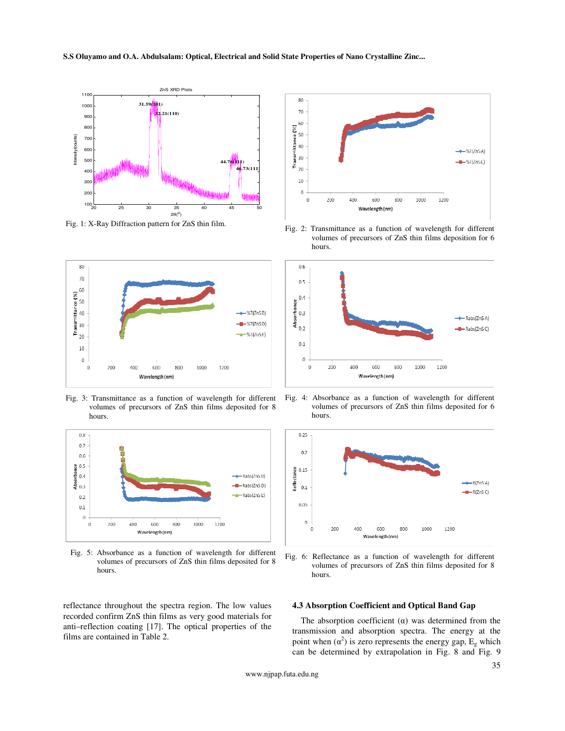**S.S Oluyamo and O.A. Abdulsalam: Optical, Electrical and Solid State Properties of Nano Crystalline Zinc...** 





Fig. 3: Transmittance as a function of wavelength for different volumes of precursors of ZnS thin films deposited for 8 hours.



Fig. 5: Absorbance as a function of wavelength for different volumes of precursors of ZnS thin films deposited for 8 hours.

reflectance throughout the spectra region. The low values recorded confirm ZnS thin films as very good materials for anti–reflection coating [17]. The optical properties of the films are contained in Table 2.



Fig. 1: X-Ray Diffraction pattern for ZnS thin film. Fig. 2: Transmittance as a function of wavelength for different volumes of precursors of ZnS thin films deposition for 6 hours.



Fig. 4: Absorbance as a function of wavelength for different volumes of precursors of ZnS thin films deposited for 6 hours.



Fig. 6: Reflectance as a function of wavelength for different volumes of precursors of ZnS thin films deposited for 8 hours.

## **4.3 Absorption Coefficient and Optical Band Gap**

The absorption coefficient  $(\alpha)$  was determined from the transmission and absorption spectra. The energy at the point when  $(\alpha^2)$  is zero represents the energy gap,  $E_g$  which can be determined by extrapolation in Fig. 8 and Fig. 9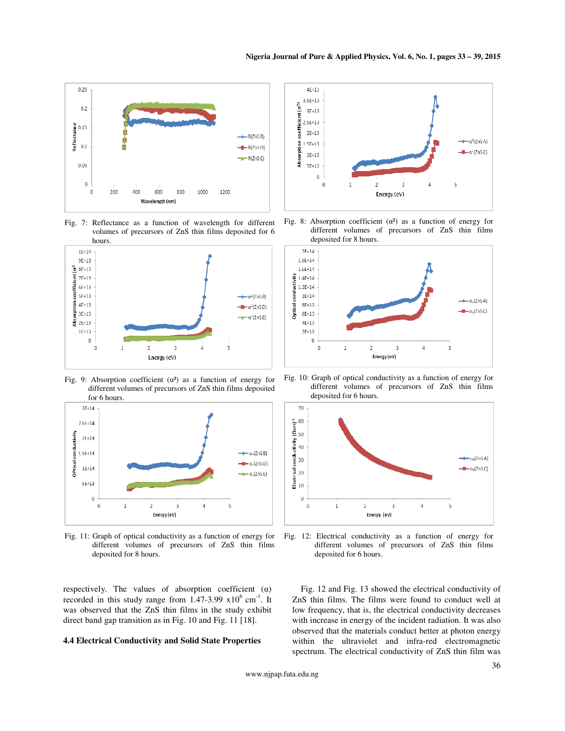

Fig. 7: Reflectance as a function of wavelength for different volumes of precursors of ZnS thin films deposited for 6



Fig. 9: Absorption coefficient  $(\alpha^2)$  as a function of energy for different volumes of precursors of ZnS thin films deposited for 6 hours.



Fig. 11: Graph of optical conductivity as a function of energy for different volumes of precursors of ZnS thin films deposited for 8 hours.

respectively. The values of absorption coefficient  $(\alpha)$ recorded in this study range from  $1.47-3.99 \times 10^6$  cm<sup>-1</sup>. It was observed that the ZnS thin films in the study exhibit direct band gap transition as in Fig. 10 and Fig. 11 [18].

## **4.4 Electrical Conductivity and Solid State Properties**



Fig. 8: Absorption coefficient  $(\alpha^2)$  as a function of energy for different volumes of precursors of ZnS thin films deposited for 8 hours.



Fig. 10: Graph of optical conductivity as a function of energy for different volumes of precursors of ZnS thin films deposited for 6 hours.



Fig. 12: Electrical conductivity as a function of energy for different volumes of precursors of ZnS thin films deposited for 6 hours.

Fig. 12 and Fig. 13 showed the electrical conductivity of ZnS thin films. The films were found to conduct well at low frequency, that is, the electrical conductivity decreases with increase in energy of the incident radiation. It was also observed that the materials conduct better at photon energy within the ultraviolet and infra-red electromagnetic spectrum. The electrical conductivity of ZnS thin film was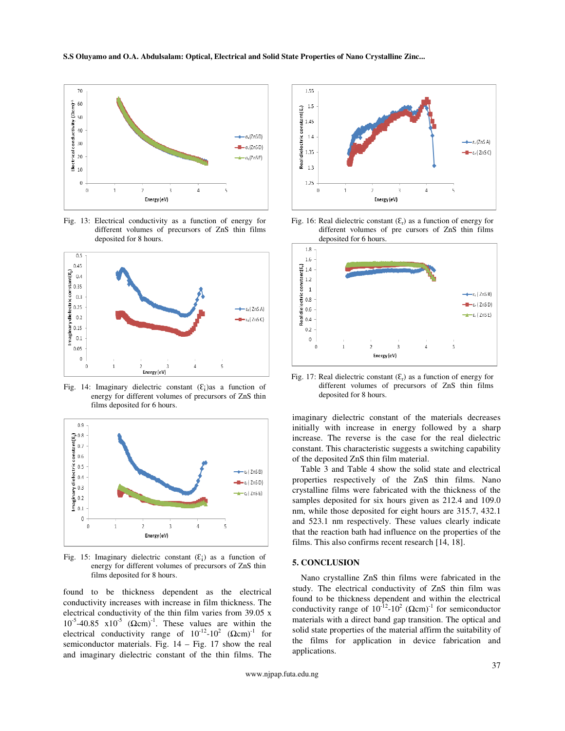

Fig. 13: Electrical conductivity as a function of energy for different volumes of precursors of ZnS thin films deposited for 8 hours.



Fig. 14: Imaginary dielectric constant  $(E_i)$  as a function of energy for different volumes of precursors of ZnS thin films deposited for 6 hours.



Fig. 15: Imaginary dielectric constant  $(E_i)$  as a function of energy for different volumes of precursors of ZnS thin films deposited for 8 hours.

found to be thickness dependent as the electrical conductivity increases with increase in film thickness. The electrical conductivity of the thin film varies from 39.05 x  $10^{-5}$ -40.85 x $10^{-5}$  ( $\Omega$ cm)<sup>-1</sup>. These values are within the electrical conductivity range of  $10^{-12}$ - $10^2$  ( $\Omega$ cm)<sup>-1</sup> for semiconductor materials. Fig. 14 – Fig. 17 show the real and imaginary dielectric constant of the thin films. The



Fig. 16: Real dielectric constant  $(\mathcal{E}_r)$  as a function of energy for different volumes of pre cursors of ZnS thin films deposited for 6 hours.



Fig. 17: Real dielectric constant  $(\mathcal{E}_r)$  as a function of energy for different volumes of precursors of ZnS thin films deposited for 8 hours.

imaginary dielectric constant of the materials decreases initially with increase in energy followed by a sharp increase. The reverse is the case for the real dielectric constant. This characteristic suggests a switching capability of the deposited ZnS thin film material.

Table 3 and Table 4 show the solid state and electrical properties respectively of the ZnS thin films. Nano crystalline films were fabricated with the thickness of the samples deposited for six hours given as 212.4 and 109.0 nm, while those deposited for eight hours are 315.7, 432.1 and 523.1 nm respectively. These values clearly indicate that the reaction bath had influence on the properties of the films. This also confirms recent research [14, 18].

#### **5. CONCLUSION**

Nano crystalline ZnS thin films were fabricated in the study. The electrical conductivity of ZnS thin film was found to be thickness dependent and within the electrical conductivity range of  $10^{-12}$ - $10^2$  ( $\Omega$ cm)<sup>-1</sup> for semiconductor materials with a direct band gap transition. The optical and solid state properties of the material affirm the suitability of the films for application in device fabrication and applications.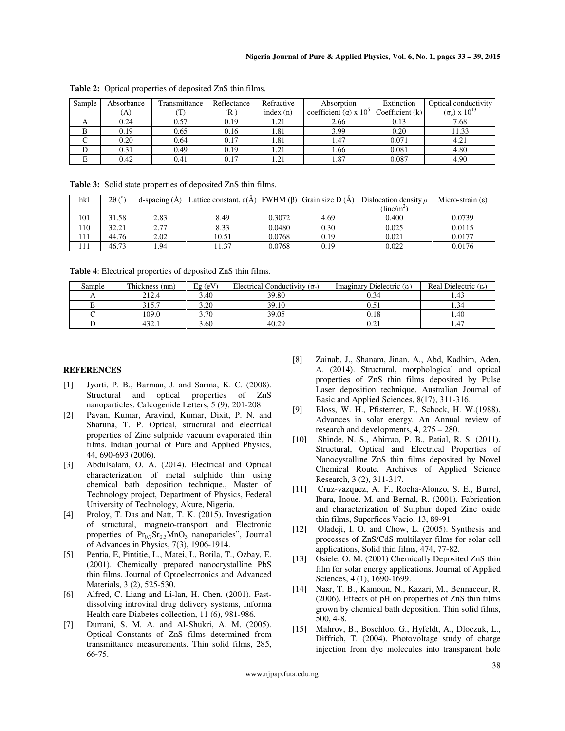| Sample | Absorbance | Transmittance | Reflectance | Refractive  | Absorption                                 | Extinction        | Optical conductivity     |
|--------|------------|---------------|-------------|-------------|--------------------------------------------|-------------------|--------------------------|
|        | (A)        |               | (R          | index $(n)$ | coefficient ( $\alpha$ ) x 10 <sup>5</sup> | Coefficient $(k)$ | $(\sigma_0)$ x $10^{13}$ |
|        | 0.24       | 0.57          | 0.19        | 1.21        | 2.66                                       | 0.13              | 7.68                     |
|        | 0.19       | 0.65          | 0.16        | 1.81        | 3.99                                       | 0.20              | 11.33                    |
|        | 0.20       | 0.64          | 0.17        | 1.81        | 1.47                                       | 0.071             | 4.21                     |
|        | 0.31       | 0.49          | 0.19        | 1.21        | 1.66                                       | 0.081             | 4.80                     |
| E      | 0.42       | 0.41          | 0.17        | 1.21        | . 87                                       | 0.087             | 4.90                     |

**Table 2:** Optical properties of deposited ZnS thin films.

**Table 3:** Solid state properties of deposited ZnS thin films.

| hkl | $2\theta$ ( $^{\circ}$ ) | $d$ -spacing $(A)$ | Lattice constant, $a(\overline{A})$ [FWHM ( $\beta$ ) Grain size D( $\overline{A}$ ) Dislocation density $\rho$ |        |      |                     | Micro-strain $(\epsilon)$ |
|-----|--------------------------|--------------------|-----------------------------------------------------------------------------------------------------------------|--------|------|---------------------|---------------------------|
|     |                          |                    |                                                                                                                 |        |      | $(\text{line/m}^2)$ |                           |
| 101 | 31.58                    | 2.83               | 8.49                                                                                                            | 0.3072 | 4.69 | 0.400               | 0.0739                    |
| 110 | 32.21                    | 2.77               | 8.33                                                                                                            | 0.0480 | 0.30 | 0.025               | 0.0115                    |
| 111 | 44.76                    | 2.02               | 10.51                                                                                                           | 0.0768 | 0.19 | 0.021               | 0.0177                    |
| 111 | 46.73                    | . 94               | 11.37                                                                                                           | 0.0768 | 0.19 | 0.022               | 0.0176                    |

**Table 4**: Electrical properties of deposited ZnS thin films.

| Sample | Thickness (nm) | $Eg$ (eV) | Electrical Conductivity $(\sigma_e)$ | Imaginary Dielectric $(\epsilon_i)$ | Real Dielectric $(\varepsilon_r)$ |
|--------|----------------|-----------|--------------------------------------|-------------------------------------|-----------------------------------|
|        | 212.4          | 3.40      | 39.80                                | 0.34                                | 1.43                              |
|        | 315.7          | 3.20      | 39.10                                |                                     | 1.34                              |
|        | 109.0          | 3.70      | 39.05                                | 0.18                                | 1.40                              |
|        | 432.1          | 3.60      | 40.29                                | ∪.∠.                                | 1.47                              |

# **REFERENCES**

- [1] Jyorti, P. B., Barman, J. and Sarma, K. C. (2008). Structural and optical properties of ZnS nanoparticles. Calcogenide Letters, 5 (9), 201-208
- [2] Pavan, Kumar, Aravind, Kumar, Dixit, P. N. and Sharuna, T. P. Optical, structural and electrical properties of Zinc sulphide vacuum evaporated thin films. Indian journal of Pure and Applied Physics, 44, 690-693 (2006).
- [3] Abdulsalam, O. A. (2014). Electrical and Optical characterization of metal sulphide thin using chemical bath deposition technique., Master of Technology project, Department of Physics, Federal University of Technology, Akure, Nigeria.
- [4] Proloy, T. Das and Natt, T. K. (2015). Investigation of structural, magneto-transport and Electronic properties of  $Pr_{0.7}$ Sr<sub>0.3</sub>MnO<sub>3</sub> nanoparicles", Journal of Advances in Physics, 7(3), 1906-1914.
- [5] Pentia, E, Pintitie, L., Matei, I., Botila, T., Ozbay, E. (2001). Chemically prepared nanocrystalline PbS thin films. Journal of Optoelectronics and Advanced Materials, 3 (2), 525-530.
- [6] Alfred, C. Liang and Li-lan, H. Chen. (2001). Fastdissolving introviral drug delivery systems, Informa Health care Diabetes collection, 11 (6), 981-986.
- [7] Durrani, S. M. A. and Al-Shukri, A. M. (2005). Optical Constants of ZnS films determined from transmittance measurements. Thin solid films, 285, 66-75.
- [8] Zainab, J., Shanam, Jinan. A., Abd, Kadhim, Aden, A. (2014). Structural, morphological and optical properties of ZnS thin films deposited by Pulse Laser deposition technique. Australian Journal of Basic and Applied Sciences, 8(17), 311-316.
- [9] Bloss, W. H., Pfisterner, F., Schock, H. W.(1988). Advances in solar energy. An Annual review of research and developments, 4, 275 – 280.
- [10] Shinde, N. S., Ahirrao, P. B., Patial, R. S. (2011). Structural, Optical and Electrical Properties of Nanocystalline ZnS thin films deposited by Novel Chemical Route. Archives of Applied Science Research, 3 (2), 311-317.
- [11] Cruz-vazquez, A. F., Rocha-Alonzo, S. E., Burrel, Ibara, Inoue. M. and Bernal, R. (2001). Fabrication and characterization of Sulphur doped Zinc oxide thin films, Superfices Vacio, 13, 89-91
- [12] Oladeji, I. O. and Chow, L. (2005). Synthesis and processes of ZnS/CdS multilayer films for solar cell applications, Solid thin films, 474, 77-82.
- [13] Osiele, O. M. (2001) Chemically Deposited ZnS thin film for solar energy applications. Journal of Applied Sciences, 4 (1), 1690-1699.
- [14] Nasr, T. B., Kamoun, N., Kazari, M., Bennaceur, R. (2006). Effects of pH on properties of ZnS thin films grown by chemical bath deposition. Thin solid films, 500, 4-8.
- [15] Mahrov, B., Boschloo, G., Hyfeldt, A., Dloczuk, L., Diffrich, T. (2004). Photovoltage study of charge injection from dye molecules into transparent hole